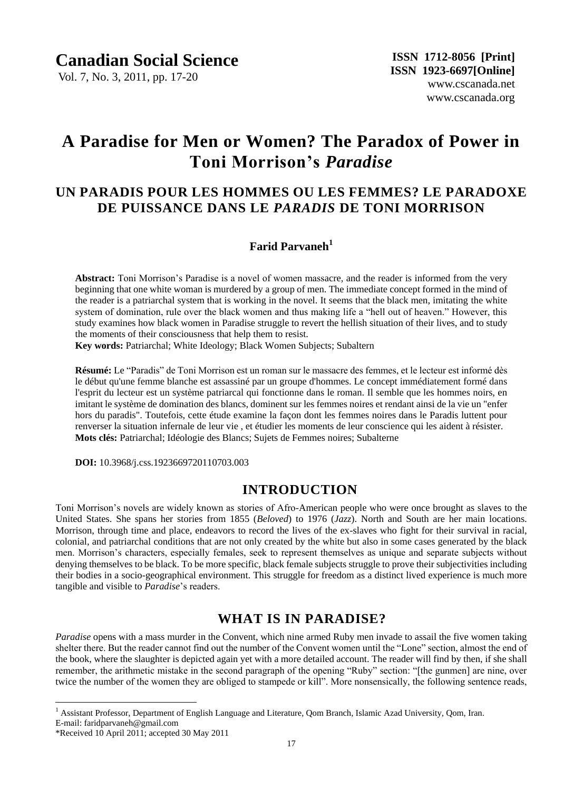Vol. 7, No. 3, 2011, pp. 17-20

# **A Paradise for Men or Women? The Paradox of Power in Toni Morrison's** *Paradise*

## **UN PARADIS POUR LES HOMMES OU LES FEMMES? LE PARADOXE DE PUISSANCE DANS LE** *PARADIS* **DE TONI MORRISON**

## **Farid Parvaneh<sup>1</sup>**

**Abstract:** Toni Morrison"s Paradise is a novel of women massacre, and the reader is informed from the very beginning that one white woman is murdered by a group of men. The immediate concept formed in the mind of the reader is a patriarchal system that is working in the novel. It seems that the black men, imitating the white system of domination, rule over the black women and thus making life a "hell out of heaven." However, this study examines how black women in Paradise struggle to revert the hellish situation of their lives, and to study the moments of their consciousness that help them to resist.

**Key words:** Patriarchal; White Ideology; Black Women Subjects; Subaltern

**Résumé:** Le "Paradis" de Toni Morrison est un roman sur le massacre des femmes, et le lecteur est informé dès le début qu'une femme blanche est assassiné par un groupe d'hommes. Le concept immédiatement formé dans l'esprit du lecteur est un système patriarcal qui fonctionne dans le roman. Il semble que les hommes noirs, en imitant le système de domination des blancs, dominent sur les femmes noires et rendant ainsi de la vie un "enfer hors du paradis". Toutefois, cette étude examine la façon dont les femmes noires dans le Paradis luttent pour renverser la situation infernale de leur vie , et étudier les moments de leur conscience qui les aident à résister. **Mots clés:** Patriarchal; Idéologie des Blancs; Sujets de Femmes noires; Subalterne

**DOI:** 10.3968/j.css.1923669720110703.003

### **INTRODUCTION**

Toni Morrison"s novels are widely known as stories of Afro-American people who were once brought as slaves to the United States. She spans her stories from 1855 (*Beloved*) to 1976 (*Jazz*). North and South are her main locations. Morrison, through time and place, endeavors to record the lives of the ex-slaves who fight for their survival in racial, colonial, and patriarchal conditions that are not only created by the white but also in some cases generated by the black men. Morrison"s characters, especially females, seek to represent themselves as unique and separate subjects without denying themselves to be black. To be more specific, black female subjects struggle to prove their subjectivities including their bodies in a socio-geographical environment. This struggle for freedom as a distinct lived experience is much more tangible and visible to *Paradise*"s readers.

### **WHAT IS IN PARADISE?**

*Paradise* opens with a mass murder in the Convent, which nine armed Ruby men invade to assail the five women taking shelter there. But the reader cannot find out the number of the Convent women until the "Lone" section, almost the end of the book, where the slaughter is depicted again yet with a more detailed account. The reader will find by then, if she shall remember, the arithmetic mistake in the second paragraph of the opening "Ruby" section: "[the gunmen] are nine, over twice the number of the women they are obliged to stampede or kill". More nonsensically, the following sentence reads,

<sup>1</sup> Assistant Professor, Department of English Language and Literature, Qom Branch, Islamic Azad University, Qom, Iran. E-mail: faridparvaneh@gmail.com

 $\overline{a}$ 

<sup>\*</sup>Received 10 April 2011; accepted 30 May 2011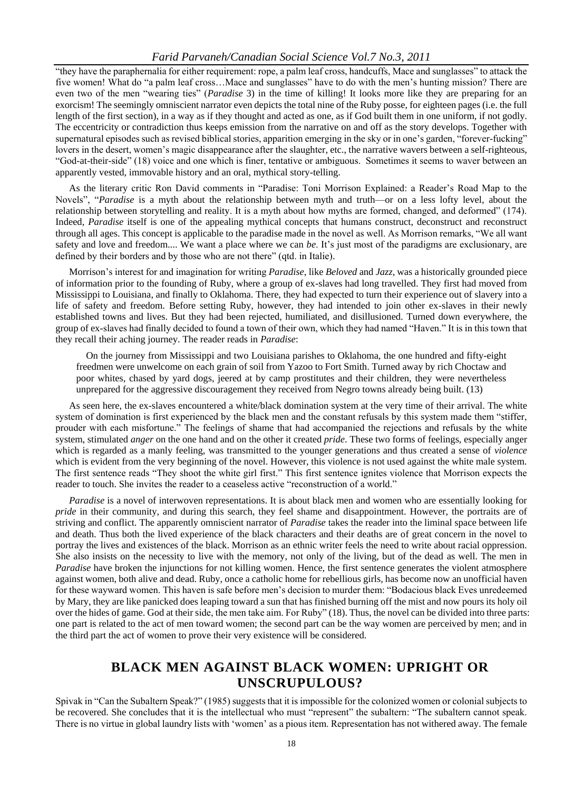#### *Farid Parvaneh/Canadian Social Science Vol.7 No.3, 2011*

"they have the paraphernalia for either requirement: rope, a palm leaf cross, handcuffs, Mace and sunglasses" to attack the five women! What do "a palm leaf cross…Mace and sunglasses" have to do with the men"s hunting mission? There are even two of the men "wearing ties" (*Paradise* 3) in the time of killing! It looks more like they are preparing for an exorcism! The seemingly omniscient narrator even depicts the total nine of the Ruby posse, for eighteen pages (i.e. the full length of the first section), in a way as if they thought and acted as one, as if God built them in one uniform, if not godly. The eccentricity or contradiction thus keeps emission from the narrative on and off as the story develops. Together with supernatural episodes such as revised biblical stories, apparition emerging in the sky or in one"s garden, "forever-fucking" lovers in the desert, women"s magic disappearance after the slaughter, etc., the narrative wavers between a self-righteous, "God-at-their-side" (18) voice and one which is finer, tentative or ambiguous. Sometimes it seems to waver between an apparently vested, immovable history and an oral, mythical story-telling.

As the literary critic Ron David comments in "Paradise: Toni Morrison Explained: a Reader"s Road Map to the Novels", "*Paradise* is a myth about the relationship between myth and truth—or on a less lofty level, about the relationship between storytelling and reality. It is a myth about how myths are formed, changed, and deformed" (174). Indeed, *Paradise* itself is one of the appealing mythical concepts that humans construct, deconstruct and reconstruct through all ages. This concept is applicable to the paradise made in the novel as well. As Morrison remarks, "We all want safety and love and freedom.... We want a place where we can *be*. It"s just most of the paradigms are exclusionary, are defined by their borders and by those who are not there" (qtd. in Italie).

Morrison"s interest for and imagination for writing *Paradise*, like *Beloved* and *Jazz*, was a historically grounded piece of information prior to the founding of Ruby, where a group of ex-slaves had long travelled. They first had moved from Mississippi to Louisiana, and finally to Oklahoma. There, they had expected to turn their experience out of slavery into a life of safety and freedom. Before setting Ruby, however, they had intended to join other ex-slaves in their newly established towns and lives. But they had been rejected, humiliated, and disillusioned. Turned down everywhere, the group of ex-slaves had finally decided to found a town of their own, which they had named "Haven." It is in this town that they recall their aching journey. The reader reads in *Paradise*:

On the journey from Mississippi and two Louisiana parishes to Oklahoma, the one hundred and fifty-eight freedmen were unwelcome on each grain of soil from Yazoo to Fort Smith. Turned away by rich Choctaw and poor whites, chased by yard dogs, jeered at by camp prostitutes and their children, they were nevertheless unprepared for the aggressive discouragement they received from Negro towns already being built. (13)

As seen here, the ex-slaves encountered a white/black domination system at the very time of their arrival. The white system of domination is first experienced by the black men and the constant refusals by this system made them "stiffer, prouder with each misfortune." The feelings of shame that had accompanied the rejections and refusals by the white system, stimulated *anger* on the one hand and on the other it created *pride*. These two forms of feelings, especially anger which is regarded as a manly feeling, was transmitted to the younger generations and thus created a sense of *violence* which is evident from the very beginning of the novel. However, this violence is not used against the white male system. The first sentence reads "They shoot the white girl first." This first sentence ignites violence that Morrison expects the reader to touch. She invites the reader to a ceaseless active "reconstruction of a world."

*Paradise* is a novel of interwoven representations. It is about black men and women who are essentially looking for *pride* in their community, and during this search, they feel shame and disappointment. However, the portraits are of striving and conflict. The apparently omniscient narrator of *Paradise* takes the reader into the liminal space between life and death. Thus both the lived experience of the black characters and their deaths are of great concern in the novel to portray the lives and existences of the black. Morrison as an ethnic writer feels the need to write about racial oppression. She also insists on the necessity to live with the memory, not only of the living, but of the dead as well. The men in *Paradise* have broken the injunctions for not killing women. Hence, the first sentence generates the violent atmosphere against women, both alive and dead. Ruby, once a catholic home for rebellious girls, has become now an unofficial haven for these wayward women. This haven is safe before men"s decision to murder them: "Bodacious black Eves unredeemed by Mary, they are like panicked does leaping toward a sun that has finished burning off the mist and now pours its holy oil over the hides of game. God at their side, the men take aim. For Ruby" (18). Thus, the novel can be divided into three parts: one part is related to the act of men toward women; the second part can be the way women are perceived by men; and in the third part the act of women to prove their very existence will be considered.

### **BLACK MEN AGAINST BLACK WOMEN: UPRIGHT OR UNSCRUPULOUS?**

Spivak in "Can the Subaltern Speak?" (1985) suggests that it is impossible for the colonized women or colonial subjects to be recovered. She concludes that it is the intellectual who must "represent" the subaltern: "The subaltern cannot speak. There is no virtue in global laundry lists with "women" as a pious item. Representation has not withered away. The female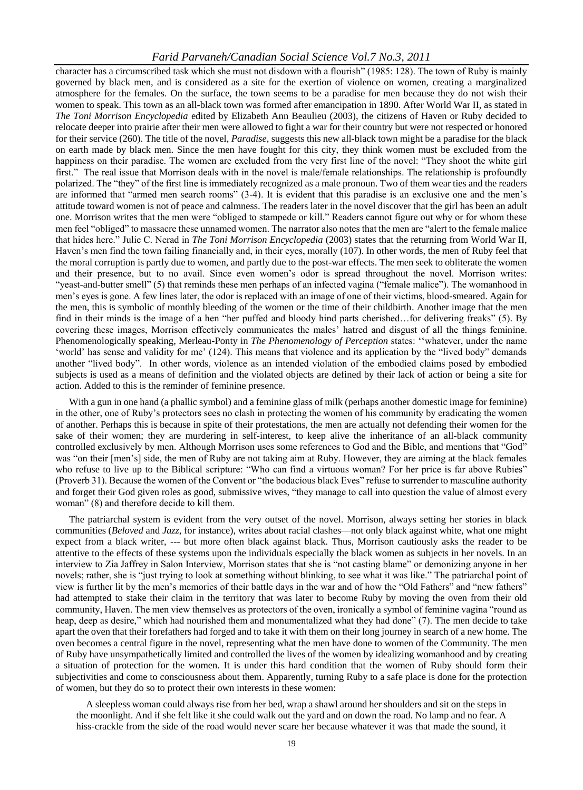#### *Farid Parvaneh/Canadian Social Science Vol.7 No.3, 2011*

character has a circumscribed task which she must not disdown with a flourish" (1985: 128). The town of Ruby is mainly governed by black men, and is considered as a site for the exertion of violence on women, creating a marginalized atmosphere for the females. On the surface, the town seems to be a paradise for men because they do not wish their women to speak. This town as an all-black town was formed after emancipation in 1890. After World War II, as stated in *The Toni Morrison Encyclopedia* edited by Elizabeth Ann Beaulieu (2003), the citizens of Haven or Ruby decided to relocate deeper into prairie after their men were allowed to fight a war for their country but were not respected or honored for their service (260). The title of the novel, *Paradise*, suggests this new all-black town might be a paradise for the black on earth made by black men. Since the men have fought for this city, they think women must be excluded from the happiness on their paradise. The women are excluded from the very first line of the novel: "They shoot the white girl first." The real issue that Morrison deals with in the novel is male/female relationships. The relationship is profoundly polarized. The "they" of the first line is immediately recognized as a male pronoun. Two of them wear ties and the readers are informed that "armed men search rooms" (3-4). It is evident that this paradise is an exclusive one and the men"s attitude toward women is not of peace and calmness. The readers later in the novel discover that the girl has been an adult one. Morrison writes that the men were "obliged to stampede or kill." Readers cannot figure out why or for whom these men feel "obliged" to massacre these unnamed women. The narrator also notes that the men are "alert to the female malice that hides here." Julie C. Nerad in *The Toni Morrison Encyclopedia* (2003) states that the returning from World War II, Haven"s men find the town failing financially and, in their eyes, morally (107). In other words, the men of Ruby feel that the moral corruption is partly due to women, and partly due to the post-war effects. The men seek to obliterate the women and their presence, but to no avail. Since even women"s odor is spread throughout the novel. Morrison writes: "yeast-and-butter smell" (5) that reminds these men perhaps of an infected vagina ("female malice"). The womanhood in men"s eyes is gone. A few lines later, the odor is replaced with an image of one of their victims, blood-smeared. Again for the men, this is symbolic of monthly bleeding of the women or the time of their childbirth. Another image that the men find in their minds is the image of a hen "her puffed and bloody hind parts cherished…for delivering freaks" (5). By covering these images, Morrison effectively communicates the males" hatred and disgust of all the things feminine. Phenomenologically speaking, Merleau-Ponty in *The Phenomenology of Perception* states: ""whatever, under the name "world" has sense and validity for me" (124). This means that violence and its application by the "lived body" demands another "lived body". In other words, violence as an intended violation of the embodied claims posed by embodied subjects is used as a means of definition and the violated objects are defined by their lack of action or being a site for action. Added to this is the reminder of feminine presence.

With a gun in one hand (a phallic symbol) and a feminine glass of milk (perhaps another domestic image for feminine) in the other, one of Ruby"s protectors sees no clash in protecting the women of his community by eradicating the women of another. Perhaps this is because in spite of their protestations, the men are actually not defending their women for the sake of their women; they are murdering in self-interest, to keep alive the inheritance of an all-black community controlled exclusively by men. Although Morrison uses some references to God and the Bible, and mentions that "God" was "on their [men"s] side, the men of Ruby are not taking aim at Ruby. However, they are aiming at the black females who refuse to live up to the Biblical scripture: "Who can find a virtuous woman? For her price is far above Rubies" (Proverb 31). Because the women of the Convent or "the bodacious black Eves" refuse to surrender to masculine authority and forget their God given roles as good, submissive wives, "they manage to call into question the value of almost every woman" (8) and therefore decide to kill them.

The patriarchal system is evident from the very outset of the novel. Morrison, always setting her stories in black communities (*Beloved* and *Jazz*, for instance), writes about racial clashes—not only black against white, what one might expect from a black writer, --- but more often black against black. Thus, Morrison cautiously asks the reader to be attentive to the effects of these systems upon the individuals especially the black women as subjects in her novels. In an interview to Zia Jaffrey in Salon Interview, Morrison states that she is "not casting blame" or demonizing anyone in her novels; rather, she is "just trying to look at something without blinking, to see what it was like." The patriarchal point of view is further lit by the men"s memories of their battle days in the war and of how the "Old Fathers" and "new fathers" had attempted to stake their claim in the territory that was later to become Ruby by moving the oven from their old community, Haven. The men view themselves as protectors of the oven, ironically a symbol of feminine vagina "round as heap, deep as desire," which had nourished them and monumentalized what they had done" (7). The men decide to take apart the oven that their forefathers had forged and to take it with them on their long journey in search of a new home. The oven becomes a central figure in the novel, representing what the men have done to women of the Community. The men of Ruby have unsympathetically limited and controlled the lives of the women by idealizing womanhood and by creating a situation of protection for the women. It is under this hard condition that the women of Ruby should form their subjectivities and come to consciousness about them. Apparently, turning Ruby to a safe place is done for the protection of women, but they do so to protect their own interests in these women:

A sleepless woman could always rise from her bed, wrap a shawl around her shoulders and sit on the steps in the moonlight. And if she felt like it she could walk out the yard and on down the road. No lamp and no fear. A hiss-crackle from the side of the road would never scare her because whatever it was that made the sound, it